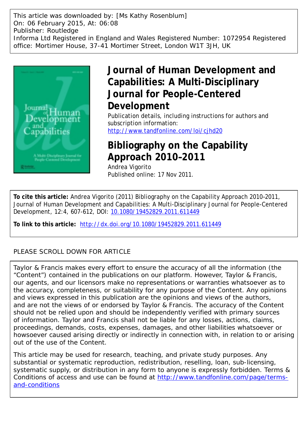This article was downloaded by: [Ms Kathy Rosenblum] On: 06 February 2015, At: 06:08 Publisher: Routledge Informa Ltd Registered in England and Wales Registered Number: 1072954 Registered office: Mortimer House, 37-41 Mortimer Street, London W1T 3JH, UK



## **Journal of Human Development and Capabilities: A Multi-Disciplinary Journal for People-Centered Development**

Publication details, including instructions for authors and subscription information: <http://www.tandfonline.com/loi/cjhd20>

## **Bibliography on the Capability Approach 2010–2011**

Andrea Vigorito Published online: 17 Nov 2011.

**To cite this article:** Andrea Vigorito (2011) Bibliography on the Capability Approach 2010–2011, Journal of Human Development and Capabilities: A Multi-Disciplinary Journal for People-Centered Development, 12:4, 607-612, DOI: [10.1080/19452829.2011.611449](http://www.tandfonline.com/action/showCitFormats?doi=10.1080/19452829.2011.611449)

**To link to this article:** <http://dx.doi.org/10.1080/19452829.2011.611449>

### PLEASE SCROLL DOWN FOR ARTICLE

Taylor & Francis makes every effort to ensure the accuracy of all the information (the "Content") contained in the publications on our platform. However, Taylor & Francis, our agents, and our licensors make no representations or warranties whatsoever as to the accuracy, completeness, or suitability for any purpose of the Content. Any opinions and views expressed in this publication are the opinions and views of the authors, and are not the views of or endorsed by Taylor & Francis. The accuracy of the Content should not be relied upon and should be independently verified with primary sources of information. Taylor and Francis shall not be liable for any losses, actions, claims, proceedings, demands, costs, expenses, damages, and other liabilities whatsoever or howsoever caused arising directly or indirectly in connection with, in relation to or arising out of the use of the Content.

This article may be used for research, teaching, and private study purposes. Any substantial or systematic reproduction, redistribution, reselling, loan, sub-licensing, systematic supply, or distribution in any form to anyone is expressly forbidden. Terms & Conditions of access and use can be found at [http://www.tandfonline.com/page/terms](http://www.tandfonline.com/page/terms-and-conditions)[and-conditions](http://www.tandfonline.com/page/terms-and-conditions)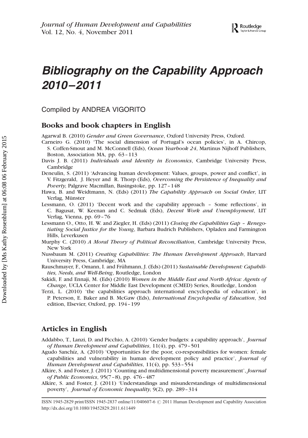# Bibliography on the Capability Approach 2010–2011

Compiled by ANDREA VIGORITO

#### Books and book chapters in English

Agarwal B. (2010) Gender and Green Governance, Oxford University Press, Oxford.

- Carneiro G. (2010) 'The social dimension of Portugal's ocean policies', in A. Chircop, S. Coffen-Smout and M. McConnell (Eds), Ocean Yearbook 24, Martinus Nijhoff Publishers, Boston, Association MA, pp. 63–113
- Davis J. B. (2011) Individuals and Identity in Economics, Cambridge University Press, Cambridge
- Deneulin, S. (2011) 'Advancing human development: Values, groups, power and conflict', in V. Fitzgerald, J. Heyer and R. Thorp (Eds), Overcoming the Persistence of Inequality and Poverty, Palgrave Macmillan, Basingstoke, pp. 127–148
- Hawa, B. and Weidtmann, N. (Eds) (2011) The Capability Approach on Social Order, LIT Verlag, Münster
- Lessmann, O. (2011) 'Decent work and the capability approach Some reflections', in C. Bagusat, W. Keenan and C. Sedmak (Eds), Decent Work and Unemployment, LIT Verlag, Vienna, pp. 69–76
- Lessmann O., Otto, H. W. and Ziegler, H. (Eds) (2011) Closing the Capabilities Gap Renegotiating Social Justice for the Young, Barbara Budrich Publishers, Opladen and Farmington Hills, Leverkusen
- Murphy C. (2010) A Moral Theory of Political Reconciliation, Cambridge University Press, New York
- Nussbaum M. (2011) Creating Capabilities: The Human Development Approach, Harvard University Press, Cambridge, MA
- Rauschmayer, F., Omann, I. and Frühmann, J. (Eds) (2011) Sustainable Development: Capabilities, Needs, and Well-Being, Routledge, London
- Sakidi, F. and Ennaji, M. (Eds) (2010) Women in the Middle East and North Africa: Agents of Change, UCLA Center for Middle East Development (CMED) Series, Routledge, London
- Terzi, L. (2010) 'the capabilities approach international encyclopedia of education', in P. Peterson, E. Baker and B. McGaw (Eds), International Encyclopedia of Education, 3rd edition, Elsevier, Oxford, pp. 194–199

#### Articles in English

- Addabbo, T., Lanzi, D. and Picchio, A. (2010) 'Gender budgets: a capability approach', Journal of Human Development and Capabilities, 11(4), pp. 479–501
- Agudo Sanchíz, A. (2010) 'Opportunities for the poor, co-responsibilities for women: female capabilities and vulnerability in human development policy and practice', Journal of Human Development and Capabilities, 11(4), pp. 533–554
- Alkire, S. and Foster, J. (2011) 'Counting and multidimensional poverty measurement', Journal of Public Economics, 95(7–8), pp. 476–487
- Alkire, S. and Foster, J. (2011) 'Understandings and misunderstandings of multidimensional poverty', Journal of Economic Inequality, 9(2), pp. 289–314

ISSN 1945-2829 print/ISSN 1945-2837 online/11/040607-6 @ 2011 Human Development and Capability Association http://dx.doi.org/10.1080/19452829.2011.611449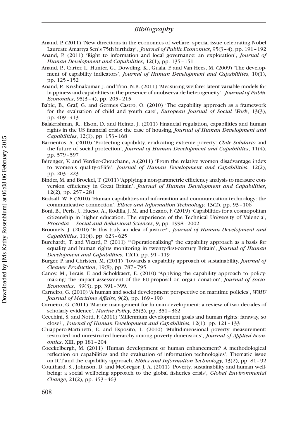- Anand, P. (2011) 'New directions in the economics of welfare: special issue celebrating Nobel Laureate Amartya Sen's 75th birthday', *Journal of Public Economics*, 95(3-4), pp. 191-192
- Anand, P. (2011) 'Right to information and local governance: an exploration', Journal of Human Development and Capabilities, 12(1), pp. 135–151
- Anand, P., Carter, I., Hunter, G., Dowding, K., Guala, F. and Van Hees, M. (2009) 'The development of capability indicators', Journal of Human Development and Capabilities, 10(1), pp. 125–152
- Anand, P., Krishnakumar, J. and Tran, N.B. (2011) 'Measuring welfare: latent variable models for happiness and capabilities in the presence of unobservable heterogeneity', Journal of Public Economics, 95(3–4), pp. 205–215
- Babic, B., Graf, G. and Germes Castro, O. (2010) 'The capability approach as a framework for the evaluation of child and youth care', European Journal of Social Work, 13(3), pp. 409–413
- Balakrishnan, R., Elson, D. and Heintz, J. (2011) Financial regulation, capabilities and human rights in the US financial crisis: the case of housing, Journal of Human Development and Capabilities, 12(1), pp. 153–168
- Barrientos, A. (2010) 'Protecting capability, eradicating extreme poverty: Chile Solidario and the future of social protection', Journal of Human Development and Capabilities, 11(4), pp. 579–597
- Bérenger, V. and Verdier-Chouchane, A.(2011) 'From the relative women disadvantage index to women's quality-of-life', Journal of Human Development and Capabilities, 12(2), pp. 203–223
- Binder, M. and Broekel, T. (2011) 'Applying a non-parametric efficiency analysis to measure conversion efficiency in Great Britain', Journal of Human Development and Capabilities, 12(2), pp. 257–281
- Birdsall, W. F. (2010) 'Human capabilities and information and communication technology: the communicative connection', Ethics and Information Technology, 13(2), pp. 93 - 106
- Boni, B., Peris, J., Hueso, A., Rodilla, J. M. and Lozano, F. (2019) 'Capabilities for a cosmopolitan citizenship in higher education. The experience of the Technical University of Valencia', Procedia – Social and Behavioral Sciences, 9, pp. 1998–2002.
- Broomels, J. (2010) 'Is this truly an idea of justice?', Journal of Human Development and Capabilities, 11(4), pp. 623–625
- Burchardt, T. and Vizard, P. (2011) '"Operationalizing" the capability approach as a basis for equality and human rights monitoring in twenty-first-century Britain', Journal of Human Development and Capabilities, 12(1), pp. 91–119
- Burger, P. and Christen, M. (2011) 'Towards a capability approach of sustainability, Journal of Cleaner Production, 19(8), pp. 787–795
- Canoy, M., Lerais, F. and Schokkaert, E. (2010) 'Applying the capability approach to policymaking: the impact assessment of the EU-proposal on organ donation', Journal of Socio-Economics, 39(3), pp. 391–399.
- Carneiro, G. (2010) 'A human and social development perspective on maritime policies', WMU Journal of Maritime Affairs, 9(2), pp. 169–190
- Carneiro, G. (2011) 'Marine management for human development: a review of two decades of scholarly evidence', Marine Policy, 35(3), pp. 351–362
- Cecchini, S. and Notti, F. (2011) 'Millennium development goals and human rights: faraway, so close?', Journal of Human Development and Capabilities, 12(1), pp. 121–133
- Chiappero-Martinetti, E. and Esposito, L. (2010) 'Multidimensional poverty measurement: restricted and unrestricted hierarchy among poverty dimensions', Journal of Applied Economics, XIII, pp.181–204
- Coeckelbergh, M. (2011) 'Human development or human enhancement? A methodological reflection on capabilities and the evaluation of information technologies', Thematic issue on ICT and the capability approach, Ethics and Information Technology, 13(2), pp. 81–92
- Coulthard, S., Johnson, D. and McGregor, J. A. (2011) 'Poverty, sustainability and human wellbeing: a social wellbeing approach to the global fisheries crisis', Global Environmental Change, 21(2), pp. 453–463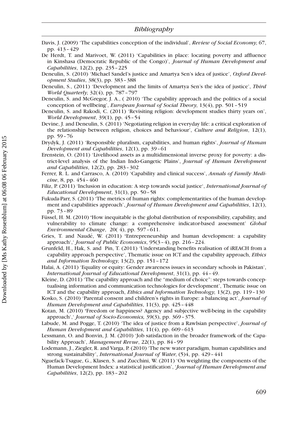- Davis, J. (2009) 'The capabilities conception of the individual', *Review of Social Economy*, 67, pp. 413–429
- De Herdt, T. and Marivoet, W. (2011) 'Capabilities in place: locating poverty and affluence in Kinshasa (Democratic Republic of the Congo)', Journal of Human Development and Capabilities, 12(2), pp. 235–225
- Deneulin, S. (2010) 'Michael Sandel's justice and Amartya Sen's idea of justice', Oxford Development Studies, 38(3), pp. 383–388
- Deneulin, S., (2011) 'Development and the limits of Amartya Sen's the idea of justice', Third World Quarterly, 32(4), pp. 787–797
- Deneulin, S. and McGregor, J. A., ( 2010) 'The capability approach and the politics of a social conception of wellbeing', European Journal of Social Theory, 13(4), pp. 501–519
- Deneulin, S. and Rakodi, C. (2011) 'Revisiting religion: development studies thirty years on', World Development, 39(1), pp. 45–54
- Devine, J. and Deneulin, S. (2011) 'Negotiating religion in everyday life: a critical exploration of the relationship between religion, choices and behaviour', Culture and Religion, 12(1), pp. 59–76
- Drydyk, J. (2011) 'Responsible pluralism, capabilities, and human rights', *Journal of Human* Development and Capabilities, 12(1), pp. 39–61
- Erenstein, O. (2011) 'Livelihood assets as a multidimensional inverse proxy for poverty: a district-level analysis of the Indian Indo-Gangetic Plains', Journal of Human Development and Capabilities, 12(2), pp. 283–302
- Ferrer, R. L. and Carrasco, A. (2010) 'Capability and clinical success', Annals of Family Medicine, 8, pp. 454–460
- Filiz, P. (2011) 'Inclusion in education: A step towards social justice', *International Journal of* Educational Development, 31(1), pp. 50–58
- Fukuda-Parr, S. (2011) 'The metrics of human rights: complementarities of the human development and capabilities approach', Journal of Human Development and Capabilities, 12(1), pp. 73–89
- Füssel, H. M. (2010) 'How inequitable is the global distribution of responsibility, capability, and vulnerability to climate change: a comprehensive indicator-based assessment' Global Environmental Change, 20( 4), pp. 597–611.
- Gries, T. and Naudé, W. (2011) 'Entrepreneurship and human development: a capability approach',' Journal of Public Economics, 95(3–4), pp. 216–224.
- Grunfeld, H., Hak, S. and Pin, T. (2011) 'Understanding benefits realisation of iREACH from a capability approach perspective', Thematic issue on ICT and the capability approach, Ethics and Information Technology, 13(2), pp. 151–172
- Halai, A. (2011) 'Equality or equity: Gender awareness issues in secondary schools in Pakistan', International Journal of Educational Development, 31(1), pp. 44–49.
- Kleine, D. (2011) 'The capability approach and the "medium of choice": steps towards conceptualising information and communication technologies for development', Thematic issue on ICT and the capability approach, Ethics and Information Technology, 13(2), pp. 119–130
- Kosko, S. (2010) 'Parental consent and children's rights in Europe: a balancing act', Journal of Human Development and Capabilities, 11(3), pp. 425-448
- Kotan, M. (2010) 'Freedom or happiness? Agency and subjective well-being in the capability approach',' Journal of Socio-Economics, 39(3), pp. 369–375.
- Labude, M. and Pogge, T. (2010) 'The idea of justice from a Rawlsian perspective', Journal of Human Development and Capabilities, 11(4), pp. 609-613
- Lessmann, O. and Bonvin, J. M. (2010) 'Job satisfaction in the broader framework of the Capability Approach', Management Revue, 22(1), pp. 84–99
- Lodemann, J., Ziegler, R. and Varga, P. (2010) 'The new water paradigm, human capabilities and strong sustainability', *International Journal of Water*, (5)4, pp. 429–441
- Nguefack-Tsague, G., Klasen, S. and Zucchini, W. (2011) 'On weighting the components of the Human Development Index: a statistical justification', 'Journal of Human Development and Capabilities, 12(2), pp. 183–202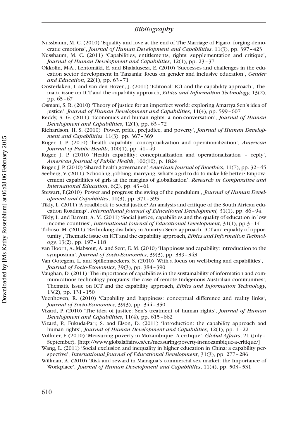Nussbaum, M. C. (2010) 'Equality and love at the end of The Marriage of Figaro: forging democratic emotions', Journal of Human Development and Capabilities, 11(3), pp. 397–423

Nussbaum, M. C. (2011) 'Capabilities, entitlements, rights: supplementation and critique', Journal of Human Development and Capabilities, 12(1), pp. 23–37

- Okkolin, M-A., Lehtomäki, E. and Bhalalusesa, E. (2010) 'Successes and challenges in the education sector development in Tanzania: focus on gender and inclusive education', Gender and Education, 22(1), pp. 63–71
- Oosterlaken, I. and van den Hoven, J. (2011) 'Editorial: ICT and the capability approach', Thematic issue on ICT and the capability approach, *Ethics and Information Technology*, 13(2), pp. 65–67
- Osmani, S. R. (2010) 'Theory of justice for an imperfect world: exploring Amartya Sen's idea of justice', Journal of Human Development and Capabilities, 11(4), pp. 599-607
- Reddy, S. G. (2011) 'Economics and human rights: a non-conversation', *Journal of Human* Development and Capabilities, 12(1), pp. 63–72
- Richardson, H. S. (2010) 'Power, pride, prejudice, and poverty', Journal of Human Development and Capabilities, 11(3), pp. 367-369
- Ruger, J. P. (2010) 'health capability: conceptualization and operationalization', American Journal of Public Health, 100(1), pp. 41-49
- Ruger, J. P. (2010) 'Health capability: conceptualization and operationalization reply', American Journal of Public Health, 100(10), p. 1824
- Ruger, J. P. (2010) 'Shared health governance,' American Journal of Bioethics, 11(7), pp. 32–45
- Seeberg, V. (2011) 'Schooling, jobbing, marrying, what's a girl to do to make life better? Empowerment capabilities of girls at the margins of globalization', Research in Comparative and International Education, 6(2), pp. 43–61
- Stewart, F.(2010) 'Power and progress: the swing of the pendulum', *Journal of Human Devel*opment and Capabilities, 11(3), pp. 371–395
- Tikly, L. (2011) 'A roadblock to social justice? An analysis and critique of the South African education Roadmap', International Journal of Educational Development, 31(1), pp. 86–94.
- Tikly, L. and Barrett, A. M. (2011) 'Social justice, capabilities and the quality of education in low income countries', *International Journal of Educational Development*, 31(1), pp.3-14
- Toboso, M. (2011) 'Rethinking disability in Amartya Sen's approach: ICT and equality of opportunity', Thematic issue on ICT and the capability approach, *Ethics and Information Technol*ogy, 13(2), pp. 197–118
- van Hoorn, A.,Mabsout, A. and Sent, E. M. (2010) 'Happiness and capability: introduction to the symposium', Journal of Socio-Economics, 39(3), pp. 339–343

Van Ootegem, L. and Spillemaeckers, S. (2010) 'With a focus on well-being and capabilities', Journal of Socio-Economics, 39(3), pp. 384–390

- Vaughan, D. (2011) 'The importance of capabilities in the sustainability of information and communications technology programs: the case of remote Indigenous Australian communities', Thematic issue on ICT and the capability approach, *Ethics and Information Technology*, 13(2), pp. 131–150
- Veenhoven, R. (2010) 'Capability and happiness: conceptual difference and reality links', Journal of Socio-Economics, 39(3), pp. 344–350.
- Vizard, P. (2010) 'The idea of justice: Sen's treatment of human rights', *Journal of Human* Development and Capabilities, 11(4), pp. 615–662
- Vizard, P., Fukuda-Parr, S. and Elson, D. (2011) 'Introduction: the capability approach and human rights', *Journal of Human Development and Capabilities*, 12(1), pp. 1-22
- Vollmer, F. (2010) 'Measuring poverty in Mozambique: A critique', Global Affairs, 21 (July-September), [http://www.globalaffairs.es/en/measuring-poverty-in-mozambique-a-critique/]
- Wang, L. (2011) 'Social exclusion and inequality in higher education in China: a capability perspective', International Journal of Educational Development, 31(3), pp. 277–286
- Willman, A. (2010) 'Risk and reward in Managua's commercial sex market: the Importance of Workplace', Journal of Human Development and Capabilities, 11(4), pp. 503–531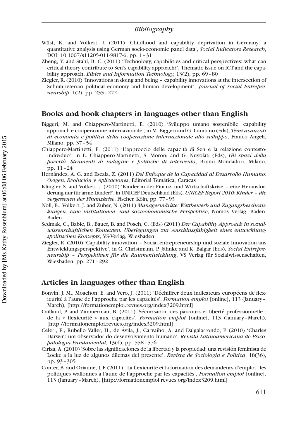- Wüst, K. and Volkert, J. (2011) 'Childhood and capability deprivation in Germany: a quantitative analysis using German socio-economic panel data', Social Indicators Research, DOI: 10.1007/s11205-011-9817-6, pp. 1–31
- Zheng, Y. and Stahl, B. C. (2011) 'Technology, capabilities and critical perspectives: what can critical theory contribute to Sen's capability approach?', Thematic issue on ICT and the capability approach, *Ethics and Information Technology*, 13(2), pp. 69-80
- Ziegler, R. (2010) 'Innovations in doing and being capability innovations at the intersection of Schumpeterian political economy and human development', *Journal of Social Entrepre*neurship, 1(2), pp. 255–272

#### Books and book chapters in languages other than English

- Biggeri, M. and Chiappero-Martinetti, E. (2010) 'Sviluppo umano sostenibile, capability approach e cooperazione internazionale', in M. Biggeri and G. Canitano (Eds), Temi avanzati di economia e politica della cooperazione internazionale allo sviluppo, Franco Angeli, Milano, pp. 37–54
- Chiappero-Martinetti, E. (2011) 'L'approccio delle capacita` di Sen e la relazione contestoindividuo', in E. Chiappero-Martinetti, S. Moroni and G. Nuvolati (Eds), Gli spazi della povertà. Strumenti di indagine e politiche di intervento, Bruno Mondadori, Milano, pp. 11–24
- Hernández, A. G. and Escala, Z. (2011) Del Enfoque de la Capacidad al Desarrollo Humano: Origen, Evolución y Aplicaciones, Editorial Temática, Caracas
- Klingler, S. and Volkert, J. (2010) 'Kinder in der Finanz- und Wirtschaftskrise eine Herausforderung nur für arme Länder?', in UNICEF Deutschland (Eds), UNICEF Report 2010: Kinder - die vergessenen der Finanzkrise, Fischer, Köln, pp. 77-93
- Noll, B., Volkert, J. and Zuber, N. (2011) Managermärkte: Wettbewerb und Zugangsbeschränkungen. Eine institutionen- und sozioökonomische Perspektive, Nomos Verlag, Baden-Baden
- Sedmak, C., Babic, B., Bauer, B. and Posch, C. (Eds) (2011) Der Capability Approach in sozialwissenschaftlichen Kontexten. Überlegungen zur Anschlussfähigkeit eines entwicklungspolitischen Konzepts, VS-Verlag, Wiesbaden
- Ziegler, R. (2010) 'Capability innovation Social entrepreneurship und soziale Innovation aus Entwicklungsperspektive', in G. Christmann, P. Jähnke and K. Balgar (Eds), Social Entrepreneurship - Perspektiven für die Raumentwicklung, VS Verlag für Sozialwissenschaften, Wiesbaden, pp. 271–292

#### Articles in languages other than English

- Bonvin, J. M., Moachon, E. and Vero, J. (2011) 'Déchiffrer deux indicateurs européens de flexicurité à l'aune de l'approche par les capacités', *Formation emploi* [online], 113 (January– March), [http://formationemploi.revues.org/index3209.html]
- Caillaud, P. and Zimmerman, B. (2011) 'Sécurisation des parcours et liberté professionnelle : de la « flexicurité » aux capacités', Formation emploi [online], 113 (January-March), [http://formationemploi.revues.org/index3209.html]
- Celeri, E., Rubello Valler, H., de A´vila, J., Carvaiho, A. and Dalgalarrondo, P. (2010) 'Charles Darwin: um observador do desenvolvimento humano', Revista Latinoamericana de Psicopatologia Fundamental, 13(4), pp. 558–576
- Ciriza, A. (2010) 'Sobre las significaciones de la libertad y la propiedad: una revisio´n feminista de Locke a la luz de algunos dilemas del presente', Revista de Sociologia e Política, 18(36), pp. 93–305
- Conter, B. and Orianne, J. F. (2011) 'La flexicurité et la formation des demandeurs d'emploi : les politiques wallonnes à l'aune de l'approche par les capacités', Formation emploi [online], 113 (January–March), [http://formationemploi.revues.org/index3209.html]